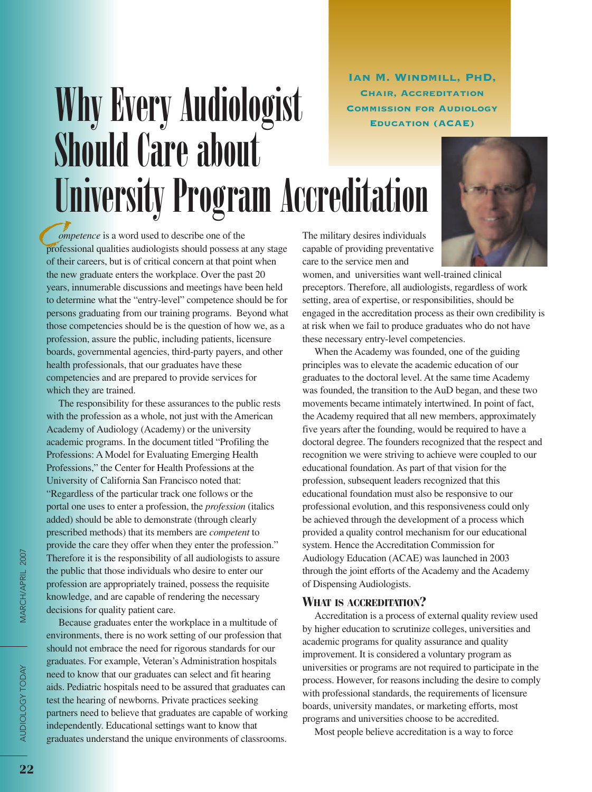**Ian M. Windmill, PhD, Chair, Accreditation**

## **Why Every Audiologist CHAIR, ACCREDITATION** Should Care about University Program Accreditation



*ompetence* is a word used to describe one of the professional qualities audiologists should possess at any stage of their careers, but is of critical concern at that point when the new graduate enters the workplace. Over the past 20 years, innumerable discussions and meetings have been held to determine what the "entry-level" competence should be for persons graduating from our training programs. Beyond what those competencies should be is the question of how we, as a profession, assure the public, including patients, licensure boards, governmental agencies, third-party payers, and other health professionals, that our graduates have these competencies and are prepared to provide services for which they are trained.

The responsibility for these assurances to the public rests with the profession as a whole, not just with the American Academy of Audiology (Academy) or the university academic programs. In the document titled "Profiling the Professions: A Model for Evaluating Emerging Health Professions," the Center for Health Professions at the University of California San Francisco noted that: "Regardless of the particular track one follows or the portal one uses to enter a profession, the *profession* (italics added) should be able to demonstrate (through clearly prescribed methods) that its members are *competent* to provide the care they offer when they enter the profession." Therefore it is the responsibility of all audiologists to assure the public that those individuals who desire to enter our profession are appropriately trained, possess the requisite knowledge, and are capable of rendering the necessary decisions for quality patient care.

Because graduates enter the workplace in a multitude of environments, there is no work setting of our profession that should not embrace the need for rigorous standards for our graduates. For example, Veteran's Administration hospitals need to know that our graduates can select and fit hearing aids. Pediatric hospitals need to be assured that graduates can test the hearing of newborns. Private practices seeking partners need to believe that graduates are capable of working independently. Educational settings want to know that graduates understand the unique environments of classrooms.

The military desires individuals capable of providing preventative care to the service men and

women, and universities want well-trained clinical preceptors. Therefore, all audiologists, regardless of work setting, area of expertise, or responsibilities, should be engaged in the accreditation process as their own credibility is at risk when we fail to produce graduates who do not have these necessary entry-level competencies.

When the Academy was founded, one of the guiding principles was to elevate the academic education of our graduates to the doctoral level. At the same time Academy was founded, the transition to the AuD began, and these two movements became intimately intertwined. In point of fact, the Academy required that all new members, approximately five years after the founding, would be required to have a doctoral degree. The founders recognized that the respect and recognition we were striving to achieve were coupled to our educational foundation. As part of that vision for the profession, subsequent leaders recognized that this educational foundation must also be responsive to our professional evolution, and this responsiveness could only be achieved through the development of a process which provided a quality control mechanism for our educational system. Hence the Accreditation Commission for Audiology Education (ACAE) was launched in 2003 through the joint efforts of the Academy and the Academy of Dispensing Audiologists.

## **WHAT IS ACCREDITATION?**

Accreditation is a process of external quality review used by higher education to scrutinize colleges, universities and academic programs for quality assurance and quality improvement. It is considered a voluntary program as universities or programs are not required to participate in the process. However, for reasons including the desire to comply with professional standards, the requirements of licensure boards, university mandates, or marketing efforts, most programs and universities choose to be accredited.

Most people believe accreditation is a way to force